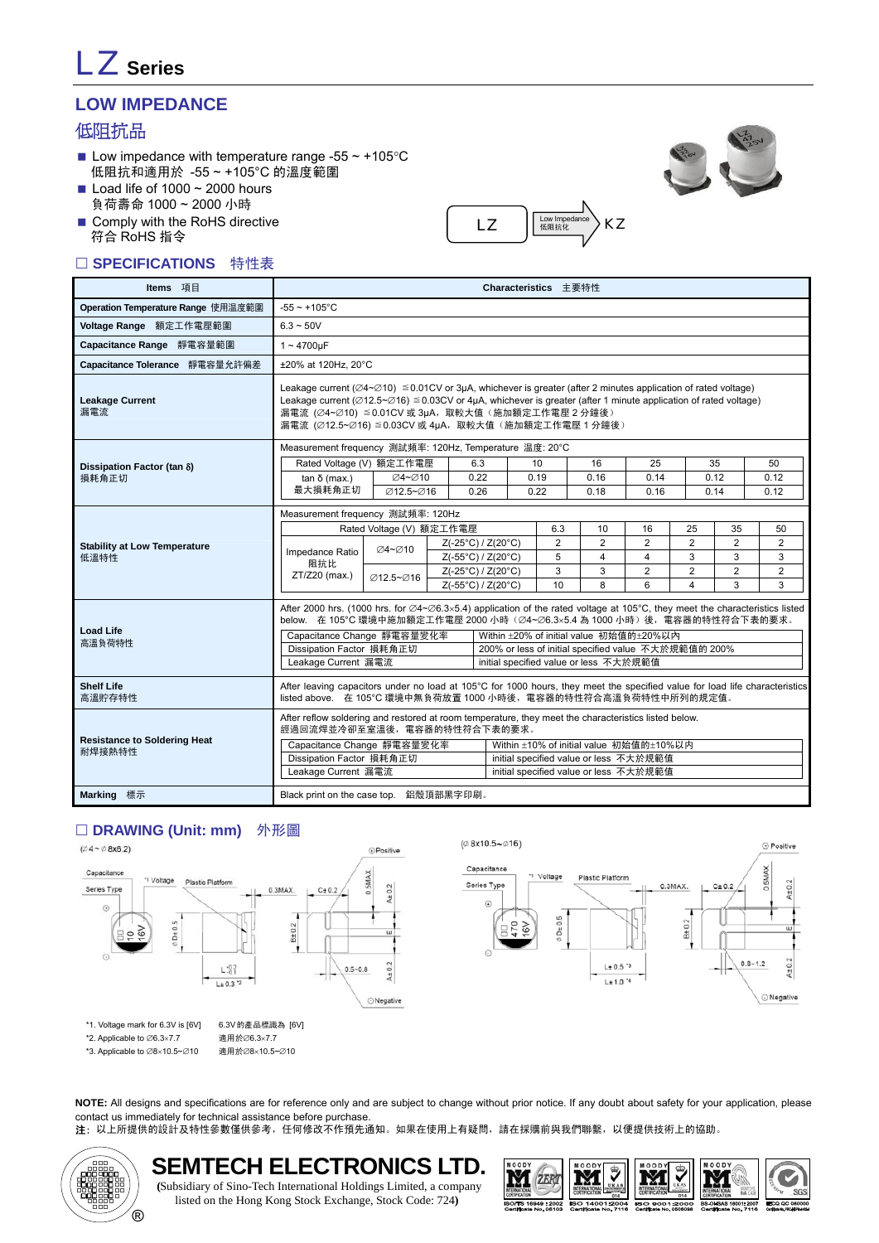# LZ **Series**

# **LOW IMPEDANCE**

## 低阻抗品

- Low impedance with temperature range -55  $\sim$  +105 °C 低阻抗和適用於 -55 ~ +105°C 的溫度範圍
- Load life of  $1000 \sim 2000$  hours 負荷壽命 1000 ~ 2000 小時
- Comply with the RoHS directive 符合 RoHS 指令

### □ SPECIFICATIONS 特性表





| Items 項目                                      |                                                 |                                                                                                                                                                                                                                                                                                                                                                                                                                                                            |                    |                                  |  | Characteristics 主要特性                                                                                                                                                                                                                                                                                                                                                                                                                                                                                                                                                                                                                                                                                                                                          |    |                |                |                |                |
|-----------------------------------------------|-------------------------------------------------|----------------------------------------------------------------------------------------------------------------------------------------------------------------------------------------------------------------------------------------------------------------------------------------------------------------------------------------------------------------------------------------------------------------------------------------------------------------------------|--------------------|----------------------------------|--|---------------------------------------------------------------------------------------------------------------------------------------------------------------------------------------------------------------------------------------------------------------------------------------------------------------------------------------------------------------------------------------------------------------------------------------------------------------------------------------------------------------------------------------------------------------------------------------------------------------------------------------------------------------------------------------------------------------------------------------------------------------|----|----------------|----------------|----------------|----------------|
| Operation Temperature Range 使用温度範圍            | $-55 \sim +105$ °C                              |                                                                                                                                                                                                                                                                                                                                                                                                                                                                            |                    |                                  |  |                                                                                                                                                                                                                                                                                                                                                                                                                                                                                                                                                                                                                                                                                                                                                               |    |                |                |                |                |
| Voltage Range 額定工作電壓範圍                        | $6.3 - 50V$                                     |                                                                                                                                                                                                                                                                                                                                                                                                                                                                            |                    |                                  |  |                                                                                                                                                                                                                                                                                                                                                                                                                                                                                                                                                                                                                                                                                                                                                               |    |                |                |                |                |
| Capacitance Range 靜電容量範圍                      | $1 - 4700$ uF                                   |                                                                                                                                                                                                                                                                                                                                                                                                                                                                            |                    |                                  |  |                                                                                                                                                                                                                                                                                                                                                                                                                                                                                                                                                                                                                                                                                                                                                               |    |                |                |                |                |
| Capacitance Tolerance 靜電容量允許偏差                | ±20% at 120Hz, 20°C                             |                                                                                                                                                                                                                                                                                                                                                                                                                                                                            |                    |                                  |  |                                                                                                                                                                                                                                                                                                                                                                                                                                                                                                                                                                                                                                                                                                                                                               |    |                |                |                |                |
| <b>Leakage Current</b><br>漏電流                 |                                                 | Leakage current ( $\varnothing$ 4~ $\varnothing$ 10) $\leq$ 0.01CV or 3µA, whichever is greater (after 2 minutes application of rated voltage)<br>Leakage current ( $\varnothing$ 12.5~ $\varnothing$ 16) $\leq$ 0.03CV or 4µA, whichever is greater (after 1 minute application of rated voltage)<br>漏電流 (∅4~∅10) ≦0.01CV 或 3µA, 取較大值 (施加額定工作電壓 2 分鐘後)<br>漏電流 (Ø12.5~Ø16) ≦0.03CV 或 4µA, 取較大值 (施加額定工作電壓 1 分鐘後)<br>Measurement frequency 測試頻率: 120Hz, Temperature 温度: 20°C |                    |                                  |  |                                                                                                                                                                                                                                                                                                                                                                                                                                                                                                                                                                                                                                                                                                                                                               |    |                |                |                |                |
|                                               |                                                 |                                                                                                                                                                                                                                                                                                                                                                                                                                                                            |                    |                                  |  |                                                                                                                                                                                                                                                                                                                                                                                                                                                                                                                                                                                                                                                                                                                                                               |    |                |                |                |                |
| Dissipation Factor (tan δ)                    | Rated Voltage (V) 額定工作電壓                        |                                                                                                                                                                                                                                                                                                                                                                                                                                                                            |                    | 6.3                              |  |                                                                                                                                                                                                                                                                                                                                                                                                                                                                                                                                                                                                                                                                                                                                                               | 16 | 25             |                |                | 50             |
| 損耗角正切                                         | $tan δ$ (max.)<br>最大損耗角正切                       | Ø4~Ø10<br>Ø12.5~Ø16                                                                                                                                                                                                                                                                                                                                                                                                                                                        |                    | 0.22<br>0.26                     |  |                                                                                                                                                                                                                                                                                                                                                                                                                                                                                                                                                                                                                                                                                                                                                               |    |                |                |                | 0.12<br>0.12   |
|                                               |                                                 |                                                                                                                                                                                                                                                                                                                                                                                                                                                                            |                    |                                  |  |                                                                                                                                                                                                                                                                                                                                                                                                                                                                                                                                                                                                                                                                                                                                                               |    |                |                |                |                |
|                                               | Measurement frequency 測試頻率: 120Hz               |                                                                                                                                                                                                                                                                                                                                                                                                                                                                            |                    |                                  |  |                                                                                                                                                                                                                                                                                                                                                                                                                                                                                                                                                                                                                                                                                                                                                               |    |                |                | 50             |                |
| <b>Stability at Low Temperature</b>           |                                                 | Rated Voltage (V) 額定工作電壓                                                                                                                                                                                                                                                                                                                                                                                                                                                   |                    | Z(-25°C) / Z(20°C)               |  |                                                                                                                                                                                                                                                                                                                                                                                                                                                                                                                                                                                                                                                                                                                                                               | 2  | $\overline{2}$ | $\overline{2}$ | 2              | $\overline{2}$ |
| 低溫特性                                          | Impedance Ratio<br>阻抗比<br>ZT/Z20 (max.)         | ∅4~∅10                                                                                                                                                                                                                                                                                                                                                                                                                                                                     |                    | Z(-55°C) / Z(20°C)               |  | 5                                                                                                                                                                                                                                                                                                                                                                                                                                                                                                                                                                                                                                                                                                                                                             | 4  | 4              | 3              | 3              | 3              |
|                                               |                                                 | <b>Ø12.5∼Ø16</b>                                                                                                                                                                                                                                                                                                                                                                                                                                                           |                    | $Z(-25^{\circ}C)/Z(20^{\circ}C)$ |  | 3                                                                                                                                                                                                                                                                                                                                                                                                                                                                                                                                                                                                                                                                                                                                                             | 3  | $\overline{2}$ | $\overline{2}$ | $\overline{2}$ | $\overline{2}$ |
|                                               |                                                 |                                                                                                                                                                                                                                                                                                                                                                                                                                                                            | Z(-55°C) / Z(20°C) |                                  |  | 10<br>35<br>0.19<br>0.16<br>0.14<br>0.12<br>0.22<br>0.18<br>0.16<br>0.14<br>6.3<br>10<br>16<br>25<br>35<br>2<br>10<br>8<br>6<br>4<br>3<br>After 2000 hrs. (1000 hrs. for $\emptyset$ 4~ $\emptyset$ 6.3×5.4) application of the rated voltage at 105°C, they meet the characteristics listed<br>below 在 105℃ 環境中施加額定工作電壓 2000 小時 (Ø4~Ø6.3×5.4 為 1000 小時) 後,電容器的特性符合下表的要求。<br>Within ±20% of initial value 初始值的±20%以內<br>200% or less of initial specified value 不大於規範值的 200%<br>initial specified value or less 不大於規範值<br>After reflow soldering and restored at room temperature, they meet the characteristics listed below.<br>Within ±10% of initial value 初始值的±10%以内<br>initial specified value or less 不大於規範值<br>initial specified value or less 不大於規範值 | 3  |                |                |                |                |
| <b>Load Life</b><br>高溫負荷特性                    | Capacitance Change 靜電容量變化率                      |                                                                                                                                                                                                                                                                                                                                                                                                                                                                            |                    |                                  |  |                                                                                                                                                                                                                                                                                                                                                                                                                                                                                                                                                                                                                                                                                                                                                               |    |                |                |                |                |
|                                               | Dissipation Factor 損耗角正切                        |                                                                                                                                                                                                                                                                                                                                                                                                                                                                            |                    |                                  |  |                                                                                                                                                                                                                                                                                                                                                                                                                                                                                                                                                                                                                                                                                                                                                               |    |                |                |                |                |
|                                               | Leakage Current 漏電流                             |                                                                                                                                                                                                                                                                                                                                                                                                                                                                            |                    |                                  |  |                                                                                                                                                                                                                                                                                                                                                                                                                                                                                                                                                                                                                                                                                                                                                               |    |                |                |                |                |
| <b>Shelf Life</b><br>高溫貯存特性                   |                                                 | After leaving capacitors under no load at 105°C for 1000 hours, they meet the specified value for load life characteristics<br>listed above. 在 105°C 環境中無負荷放置 1000 小時後,電容器的特性符合高溫負荷特性中所列的規定值。                                                                                                                                                                                                                                                                              |                    |                                  |  |                                                                                                                                                                                                                                                                                                                                                                                                                                                                                                                                                                                                                                                                                                                                                               |    |                |                |                |                |
|                                               | 經過回流焊並冷卻至室溫後, 電容器的特性符合下表的要求。                    |                                                                                                                                                                                                                                                                                                                                                                                                                                                                            |                    |                                  |  |                                                                                                                                                                                                                                                                                                                                                                                                                                                                                                                                                                                                                                                                                                                                                               |    |                |                |                |                |
| <b>Resistance to Soldering Heat</b><br>耐焊接熱特性 | Capacitance Change 靜電容量變化率                      |                                                                                                                                                                                                                                                                                                                                                                                                                                                                            |                    |                                  |  |                                                                                                                                                                                                                                                                                                                                                                                                                                                                                                                                                                                                                                                                                                                                                               |    |                |                |                |                |
|                                               | Dissipation Factor 損耗角正切<br>Leakage Current 漏電流 |                                                                                                                                                                                                                                                                                                                                                                                                                                                                            |                    |                                  |  |                                                                                                                                                                                                                                                                                                                                                                                                                                                                                                                                                                                                                                                                                                                                                               |    |                |                |                |                |
|                                               |                                                 |                                                                                                                                                                                                                                                                                                                                                                                                                                                                            |                    |                                  |  |                                                                                                                                                                                                                                                                                                                                                                                                                                                                                                                                                                                                                                                                                                                                                               |    |                |                |                |                |
| Marking 標示                                    | Black print on the case top. 鋁殼頂部黑字印刷。          |                                                                                                                                                                                                                                                                                                                                                                                                                                                                            |                    |                                  |  |                                                                                                                                                                                                                                                                                                                                                                                                                                                                                                                                                                                                                                                                                                                                                               |    |                |                |                |                |

#### □ DRAWING (Unit: mm) 外形圖





\*1. Voltage mark for 6.3V is [6V] 6.3V的產品標識為 [6V]

\*2. Applicable to ∅6.3×7.7

\*3. Applicable to ∅8×10.5~∅10

適用於∅6.3×7.7 適用於∅8×10.5~∅10



**NOTE:** All designs and specifications are for reference only and are subject to change without prior notice. If any doubt about safety for your application, please contact us immediately for technical assistance before purchase.

注: 以上所提供的設計及特性參數僅供參考, 任何修改不作預先通知。如果在使用上有疑問, 請在採購前與我們聯繫, 以便提供技術上的協助。

⊕ Positive



**SEMTECH ELECTRONICS LTD. (**Subsidiary of Sino-Tech International Holdings Limited, a company listed on the Hong Kong Stock Exchange, Stock Code: 724**)**

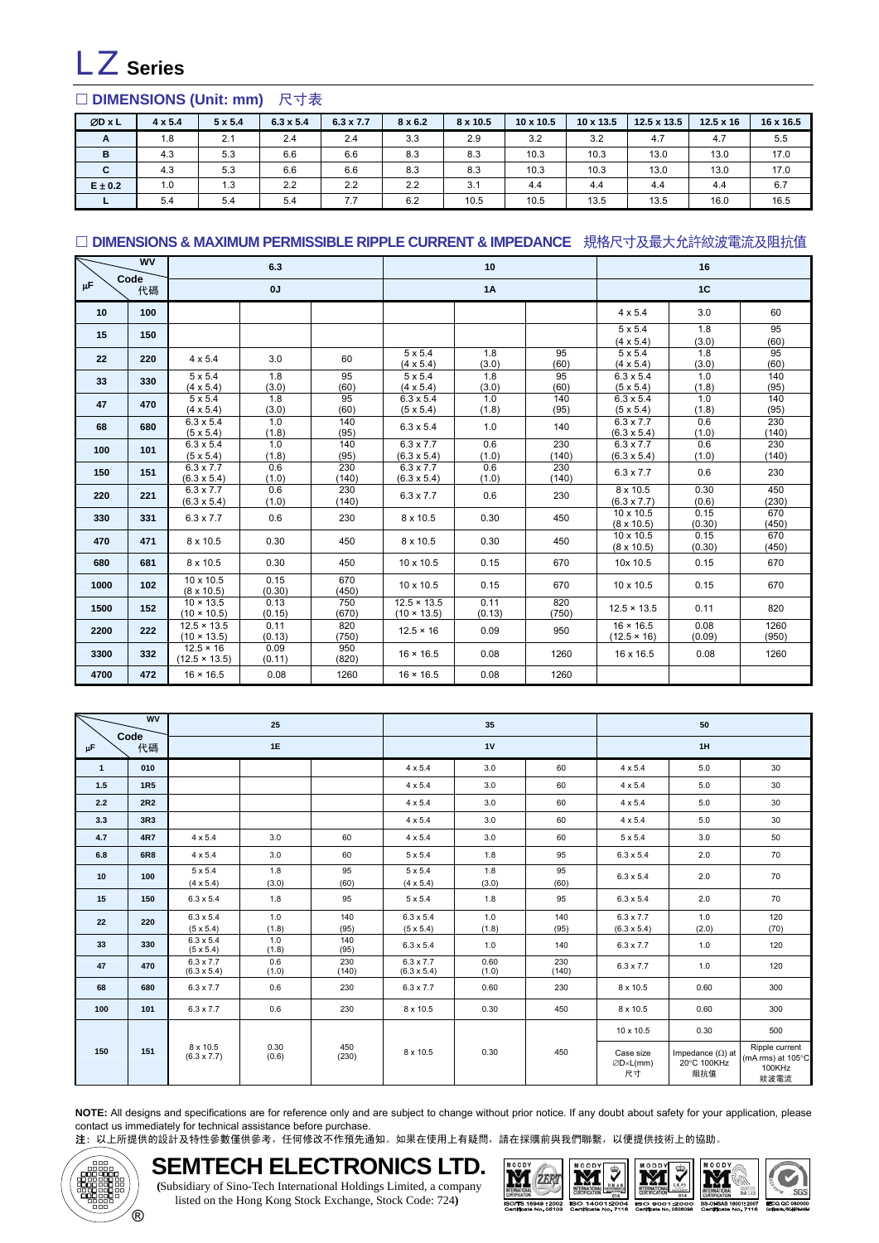

### □ DIMENSIONS (Unit: mm) 尺寸表

| ØD x L      | $4 \times 5.4$ | $5 \times 5.4$ | $6.3 \times 5.4$ | $6.3 \times 7.7$ | $8 \times 6.2$ | 8 x 10.5 | $10 \times 10.5$ | $10 \times 13.5$ | $12.5 \times 13.5$ | $12.5 \times 16$ | 16 x 16.5 |
|-------------|----------------|----------------|------------------|------------------|----------------|----------|------------------|------------------|--------------------|------------------|-----------|
| A           | 1.8            | 2.1            | 2.4              | 2.4              | 3.3            | 2.9      | 3.2              | 3.2              | 4.7                | 4.7              | 5.5       |
| B           | 4.3            | 5.3            | 6.6              | 6.6              | 8.3            | 8.3      | 10.3             | 10.3             | 13.0               | 13.0             | 17.0      |
| C           | 4.3            | 5.3            | 6.6              | 6.6              | 8.3            | 8.3      | 10.3             | 10.3             | 13.0               | 13.0             | 17.0      |
| $E \pm 0.2$ | 1.0            | 1.3            | 2.2              | 2.2              | 2.2            | 3.1      | 4.4              | 4.4              | 4.4                | 4.4              | 6.7       |
|             | 5.4            | 5.4            | 5.4              | 7.7              | 6.2            | 10.5     | 10.5             | 13.5             | 13.5               | 16.0             | 16.5      |

#### □ DIMENSIONS & MAXIMUM PERMISSIBLE RIPPLE CURRENT & IMPEDANCE 規格尺寸及最大允許紋波電流及阻抗值

|      | <b>WV</b>  |                                          | 6.3            |              |                                          | 10             |              |                                        | 16             |               |
|------|------------|------------------------------------------|----------------|--------------|------------------------------------------|----------------|--------------|----------------------------------------|----------------|---------------|
| μF   | Code<br>代碼 |                                          | 0J             |              |                                          | 1A             |              | 1C                                     |                |               |
| 10   | 100        |                                          |                |              |                                          |                |              | $4 \times 5.4$                         | 3.0            | 60            |
| 15   | 150        |                                          |                |              |                                          |                |              | $5 \times 5.4$<br>$(4 \times 5.4)$     | 1.8<br>(3.0)   | 95<br>(60)    |
| 22   | 220        | $4 \times 5.4$                           | 3.0            | 60           | $5 \times 5.4$<br>$(4 \times 5.4)$       | 1.8<br>(3.0)   | 95<br>(60)   | $5 \times 5.4$<br>$(4 \times 5.4)$     | 1.8<br>(3.0)   | 95<br>(60)    |
| 33   | 330        | $5 \times 5.4$<br>$(4 \times 5.4)$       | 1.8<br>(3.0)   | 95<br>(60)   | $5 \times 5.4$<br>$(4 \times 5.4)$       | 1.8<br>(3.0)   | 95<br>(60)   | $6.3 \times 5.4$<br>$(5 \times 5.4)$   | 1.0<br>(1.8)   | 140<br>(95)   |
| 47   | 470        | $5 \times 5.4$<br>$(4 \times 5.4)$       | 1.8<br>(3.0)   | 95<br>(60)   | $6.3 \times 5.4$<br>$(5 \times 5.4)$     | 1.0<br>(1.8)   | 140<br>(95)  | $6.3 \times 5.4$<br>$(5 \times 5.4)$   | 1.0<br>(1.8)   | 140<br>(95)   |
| 68   | 680        | $6.3 \times 5.4$<br>$(5 \times 5.4)$     | 1.0<br>(1.8)   | 140<br>(95)  | $6.3 \times 5.4$                         | 1.0            | 140          | $6.3 \times 7.7$<br>$(6.3 \times 5.4)$ | 0.6<br>(1.0)   | 230<br>(140)  |
| 100  | 101        | $6.3 \times 5.4$<br>$(5 \times 5.4)$     | 1.0<br>(1.8)   | 140<br>(95)  | $6.3 \times 7.7$<br>$(6.3 \times 5.4)$   | 0.6<br>(1.0)   | 230<br>(140) | $6.3 \times 7.7$<br>$(6.3 \times 5.4)$ | 0.6<br>(1.0)   | 230<br>(140)  |
| 150  | 151        | $6.3 \times 7.7$<br>$(6.3 \times 5.4)$   | 0.6<br>(1.0)   | 230<br>(140) | $6.3 \times 7.7$<br>$(6.3 \times 5.4)$   | 0.6<br>(1.0)   | 230<br>(140) | $6.3 \times 7.7$                       | 0.6            | 230           |
| 220  | 221        | $6.3 \times 7.7$<br>$(6.3 \times 5.4)$   | 0.6<br>(1.0)   | 230<br>(140) | $6.3 \times 7.7$                         | 0.6            | 230          | 8 x 10.5<br>$(6.3 \times 7.7)$         | 0.30<br>(0.6)  | 450<br>(230)  |
| 330  | 331        | $6.3 \times 7.7$                         | 0.6            | 230          | 8 x 10.5                                 | 0.30           | 450          | 10 x 10.5<br>$(8 \times 10.5)$         | 0.15<br>(0.30) | 670<br>(450)  |
| 470  | 471        | 8 x 10.5                                 | 0.30           | 450          | 8 x 10.5                                 | 0.30           | 450          | 10 x 10.5<br>$(8 \times 10.5)$         | 0.15<br>(0.30) | 670<br>(450)  |
| 680  | 681        | 8 x 10.5                                 | 0.30           | 450          | 10 x 10.5                                | 0.15           | 670          | 10x 10.5                               | 0.15           | 670           |
| 1000 | 102        | 10 x 10.5<br>$(8 \times 10.5)$           | 0.15<br>(0.30) | 670<br>(450) | 10 x 10.5                                | 0.15           | 670          | 10 x 10.5                              | 0.15           | 670           |
| 1500 | 152        | $10 \times 13.5$<br>$(10 \times 10.5)$   | 0.13<br>(0.15) | 750<br>(670) | $12.5 \times 13.5$<br>$(10 \times 13.5)$ | 0.11<br>(0.13) | 820<br>(750) | $12.5 \times 13.5$                     | 0.11           | 820           |
| 2200 | 222        | $12.5 \times 13.5$<br>$(10 \times 13.5)$ | 0.11<br>(0.13) | 820<br>(750) | $12.5 \times 16$                         | 0.09           | 950          | $16 \times 16.5$<br>$(12.5 \times 16)$ | 0.08<br>(0.09) | 1260<br>(950) |
| 3300 | 332        | $12.5 \times 16$<br>$(12.5 \times 13.5)$ | 0.09<br>(0.11) | 950<br>(820) | $16 \times 16.5$                         | 0.08           | 1260         | 16 x 16.5                              | 0.08           | 1260          |
| 4700 | 472        | $16 \times 16.5$                         | 0.08           | 1260         | $16 \times 16.5$                         | 0.08           | 1260         |                                        |                |               |

| <b>WV</b><br>Code |            |                                        | 25            |              |                                        | 35            |              | 50                                     |                                               |                                                                 |  |
|-------------------|------------|----------------------------------------|---------------|--------------|----------------------------------------|---------------|--------------|----------------------------------------|-----------------------------------------------|-----------------------------------------------------------------|--|
| μF                | 代碼         |                                        | 1E            |              |                                        | 1V            |              |                                        | 1H                                            |                                                                 |  |
| $\overline{1}$    | 010        |                                        |               |              | $4 \times 5.4$                         | 3.0           | 60           | $4 \times 5.4$                         | 5.0                                           | 30                                                              |  |
| 1.5               | <b>1R5</b> |                                        |               |              | $4 \times 5.4$                         | 3.0           | 60           | $4 \times 5.4$                         | 5.0                                           | 30                                                              |  |
| 2.2               | <b>2R2</b> |                                        |               |              | $4 \times 5.4$                         | 3.0           | 60           | $4 \times 5.4$                         | 5.0                                           | 30                                                              |  |
| 3.3               | 3R3        |                                        |               |              | $4 \times 5.4$                         | 3.0           | 60           | $4 \times 5.4$                         | 5.0                                           | 30                                                              |  |
| 4.7               | <b>4R7</b> | 4 x 5.4                                | 3.0           | 60           | $4 \times 5.4$                         | 3.0           | 60           | $5 \times 5.4$                         | 3.0                                           | 50                                                              |  |
| 6.8               | <b>6R8</b> | 4 x 5.4                                | 3.0           | 60           | $5 \times 5.4$                         | 1.8           | 95           | $6.3 \times 5.4$                       | 2.0                                           | 70                                                              |  |
| 10                | 100        | 5 x 5.4<br>$(4 \times 5.4)$            | 1.8<br>(3.0)  | 95<br>(60)   | 5 x 5.4<br>$(4 \times 5.4)$            | 1.8<br>(3.0)  | 95<br>(60)   | $6.3 \times 5.4$                       | 2.0                                           | 70                                                              |  |
| 15                | 150        | $6.3 \times 5.4$                       | 1.8           | 95           | $5 \times 5.4$                         | 1.8           | 95           | $6.3 \times 5.4$                       | 2.0                                           | 70                                                              |  |
| 22                | 220        | $6.3 \times 5.4$<br>$(5 \times 5.4)$   | 1.0<br>(1.8)  | 140<br>(95)  | $6.3 \times 5.4$<br>$(5 \times 5.4)$   | 1.0<br>(1.8)  | 140<br>(95)  | 6.3 x 7.7<br>$(6.3 \times 5.4)$        | 1.0<br>(2.0)                                  | 120<br>(70)                                                     |  |
| 33                | 330        | $6.3 \times 5.4$<br>$(5 \times 5.4)$   | 1.0<br>(1.8)  | 140<br>(95)  | $6.3 \times 5.4$                       | 1.0           | 140          | $6.3 \times 7.7$                       | 1.0                                           | 120                                                             |  |
| 47                | 470        | $6.3 \times 7.7$<br>$(6.3 \times 5.4)$ | 0.6<br>(1.0)  | 230<br>(140) | $6.3 \times 7.7$<br>$(6.3 \times 5.4)$ | 0.60<br>(1.0) | 230<br>(140) | $6.3 \times 7.7$                       | 1.0                                           | 120                                                             |  |
| 68                | 680        | $6.3 \times 7.7$                       | 0.6           | 230          | $6.3 \times 7.7$                       | 0.60          | 230          | 8 x 10.5                               | 0.60                                          | 300                                                             |  |
| 100               | 101        | $6.3 \times 7.7$                       | 0.6           | 230          | 8 x 10.5                               | 0.30          | 450          | 8 x 10.5                               | 0.60                                          | 300                                                             |  |
|                   |            |                                        |               |              |                                        |               |              | 10 x 10.5                              | 0.30                                          | 500                                                             |  |
| 150               | 151        | 8 x 10.5<br>$(6.3 \times 7.7)$         | 0.30<br>(0.6) | 450<br>(230) | 8 x 10.5                               | 0.30          | 450          | Case size<br>$\emptyset$ D×L(mm)<br>尺寸 | Impedance $(\Omega)$ at<br>20°C 100KHz<br>阻抗值 | Ripple current<br>(mA rms) at $105^{\circ}$ C<br>100KHz<br>紋波電流 |  |

**NOTE:** All designs and specifications are for reference only and are subject to change without prior notice. If any doubt about safety for your application, please contact us immediately for technical assistance before purchase.

注: 以上所提供的設計及特性參數僅供參考,任何修改不作預先通知。如果在使用上有疑問,請在採購前與我們聯繫,以便提供技術上的協助。



#### **SEMTECH ELECTRONICS LTD. (**Subsidiary of Sino-Tech International Holdings Limited, a company listed on the Hong Kong Stock Exchange, Stock Code: 724**)**





IECQ QC